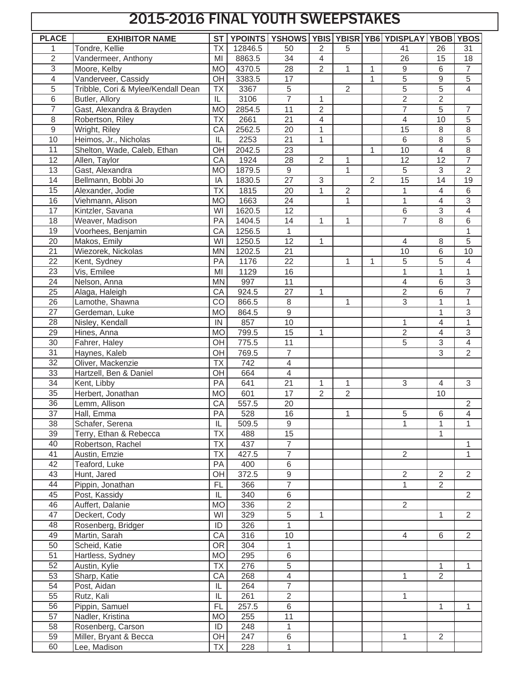## 2015-2016 FINAL YOUTH SWEEPSTAKES

| <b>PLACE</b>    | <b>EXHIBITOR NAME</b>              | <b>ST</b>                |         |                         |                |                |                | YPOINTS YSHOWS YBIS YBISR YB6 YDISPLAY YBOB YBOS |                  |                |
|-----------------|------------------------------------|--------------------------|---------|-------------------------|----------------|----------------|----------------|--------------------------------------------------|------------------|----------------|
|                 | Tondre, Kellie                     | <b>TX</b>                | 12846.5 | 50                      | 2              | 5              |                | 41                                               | 26               | 31             |
| $\overline{2}$  | Vandermeer, Anthony                | MI                       | 8863.5  | 34                      | 4              |                |                | 26                                               | 15               | 18             |
| $\overline{3}$  | Moore, Kelby                       | <b>MO</b>                | 4370.5  | 28                      | $\overline{2}$ | 1              | $\mathbf{1}$   | $\boldsymbol{9}$                                 | $\,6\,$          | 7              |
| $\overline{4}$  | Vanderveer, Cassidy                | OH                       | 3383.5  | 17                      |                |                | $\mathbf{1}$   | $\overline{5}$                                   | $\boldsymbol{9}$ | $\overline{5}$ |
| 5               | Tribble, Cori & Mylee/Kendall Dean | <b>TX</b>                | 3367    | 5                       |                | $\overline{2}$ |                | $\overline{5}$                                   | $\overline{5}$   | $\overline{4}$ |
| $\overline{6}$  | Butler, Allory                     | $\overline{\mathsf{IL}}$ | 3106    | $\overline{7}$          | 1              |                |                | $\overline{2}$                                   | $\overline{2}$   |                |
| $\overline{7}$  | Gast, Alexandra & Brayden          | <b>MO</b>                | 2854.5  | 11                      | $\overline{2}$ |                |                | $\overline{7}$                                   | $\overline{5}$   | $\overline{7}$ |
| 8               | Robertson, Riley                   | $\overline{TX}$          | 2661    | $\overline{21}$         | 4              |                |                | 4                                                | 10               | $\overline{5}$ |
| 9               | Wright, Riley                      | CA                       | 2562.5  | 20                      | 1              |                |                | 15                                               | $\,8\,$          | $\overline{8}$ |
| 10              | Heimos, Jr., Nicholas              | IL                       | 2253    | 21                      | 1              |                |                | 6                                                | 8                | 5              |
| $\overline{11}$ | Shelton, Wade, Caleb, Ethan        | OH                       | 2042.5  | $\overline{23}$         |                |                | $\mathbf{1}$   | 10                                               | 4                | 8              |
| 12              | Allen, Taylor                      | CA                       | 1924    | $\overline{28}$         | $\overline{2}$ | 1              |                | $\overline{12}$                                  | $\overline{12}$  | $\overline{7}$ |
| 13              | Gast, Alexandra                    | <b>MO</b>                | 1879.5  | $\boldsymbol{9}$        |                | 1              |                | 5                                                | $\sqrt{3}$       | $\overline{2}$ |
| 14              | Bellmann, Bobbi Jo                 | IA                       | 1830.5  | 27                      | $\overline{3}$ |                | $\overline{2}$ | 15                                               | 14               | 19             |
| 15              | Alexander, Jodie                   | <b>TX</b>                | 1815    | 20                      | $\mathbf{1}$   | $\overline{2}$ |                | $\mathbf{1}$                                     | 4                | 6              |
| 16              | Viehmann, Alison                   | <b>MO</b>                | 1663    | 24                      |                | 1              |                | $\mathbf{1}$                                     | 4                | 3              |
| $\overline{17}$ | Kintzler, Savana                   | WI                       | 1620.5  | 12                      |                |                |                | $6\,$                                            | $\overline{3}$   | 4              |
| 18              | Weaver, Madison                    | PA                       | 1404.5  | 14                      | 1              | 1              |                | $\overline{7}$                                   | 8                | 6              |
| 19              | Voorhees, Benjamin                 | CA                       | 1256.5  | 1                       |                |                |                |                                                  |                  | 1              |
| 20              | Makos, Emily                       | WI                       | 1250.5  | 12                      | 1              |                |                | $\overline{4}$                                   | $\,8\,$          | $\overline{5}$ |
| $\overline{21}$ | Wiezorek, Nickolas                 | <b>MN</b>                | 1202.5  | 21                      |                |                |                | 10                                               | $6\,$            | 10             |
| 22              | Kent, Sydney                       | PA                       | 1176    | 22                      |                | 1              | 1              | 5                                                | $\overline{5}$   | 4              |
| $\overline{23}$ | Vis, Emilee                        | MI                       | 1129    | 16                      |                |                |                | $\mathbf{1}$                                     | $\mathbf{1}$     | $\mathbf{1}$   |
| $\overline{24}$ | Nelson, Anna                       | <b>MN</b>                | 997     | 11                      |                |                |                | $\overline{4}$                                   | $6\phantom{1}$   | $\overline{3}$ |
| 25              | Alaga, Haleigh                     | CA                       | 924.5   | 27                      | 1              |                |                | $\overline{2}$                                   | $\,6\,$          | $\overline{7}$ |
| $\overline{26}$ | Lamothe, Shawna                    | CO                       | 866.5   | $\,8\,$                 |                | 1              |                | $\overline{3}$                                   | 1                | $\mathbf{1}$   |
| $\overline{27}$ | Gerdeman, Luke                     | <b>MO</b>                | 864.5   | $\overline{9}$          |                |                |                |                                                  | $\mathbf{1}$     | $\overline{3}$ |
| 28              | Nisley, Kendall                    | IN                       | 857     | 10                      |                |                |                | $\mathbf{1}$                                     | 4                | $\overline{1}$ |
| 29              | Hines, Anna                        | <b>MO</b>                | 799.5   | 15                      | 1              |                |                | $\overline{2}$                                   | 4                | $\overline{3}$ |
| $\overline{30}$ | Fahrer, Haley                      | OH                       | 775.5   | $\overline{11}$         |                |                |                | $\overline{5}$                                   | $\overline{3}$   | $\overline{4}$ |
| 31              | Haynes, Kaleb                      | OH                       | 769.5   | $\overline{7}$          |                |                |                |                                                  | $\overline{3}$   | $\overline{2}$ |
| 32              | Oliver, Mackenzie                  | <b>Τ</b> Χ               | 742     | $\overline{\mathbf{4}}$ |                |                |                |                                                  |                  |                |
| $\overline{33}$ | Hartzell, Ben & Daniel             | OH                       | 664     | $\overline{\mathbf{4}}$ |                |                |                |                                                  |                  |                |
| 34              | Kent, Libby                        | PA                       | 641     | $\overline{21}$         | 1              | 1              |                | 3                                                | 4                | 3              |
| 35              | Herbert, Jonathan                  | <b>MO</b>                | 601     | 17                      | $\overline{2}$ | $\overline{2}$ |                |                                                  | 10               |                |
| $\overline{36}$ | Lemm, Allison                      | CA                       | 557.5   | $\overline{20}$         |                |                |                |                                                  |                  | 2              |
| $\overline{37}$ | Hall, Emma                         | PA                       | 528     | 16                      |                | 1              |                | $\overline{5}$                                   | $\,6$            | 4              |
| 38              | Schafer, Serena                    | IL                       | 509.5   | 9                       |                |                |                | $\mathbf{1}$                                     | 1                | $\mathbf{1}$   |
| 39              | Terry, Ethan & Rebecca             | <b>TX</b>                | 488     | 15                      |                |                |                |                                                  | $\mathbf{1}$     |                |
| 40              | Robertson, Rachel                  | <b>TX</b>                | 437     | $\overline{7}$          |                |                |                |                                                  |                  | 1              |
| 41              | Austin, Emzie                      | <b>TX</b>                | 427.5   | $\overline{7}$          |                |                |                | $\overline{2}$                                   |                  | 1              |
| 42              | Teaford, Luke                      | PA                       | 400     | 6                       |                |                |                |                                                  |                  |                |
| 43              | Hunt, Jared                        | OH                       | 372.5   | 9                       |                |                |                | $\overline{2}$                                   | 2                | $\overline{2}$ |
| 44              | Pippin, Jonathan                   | <b>FL</b>                | 366     | $\overline{7}$          |                |                |                | $\mathbf{1}$                                     | 2                |                |
| 45              | Post, Kassidy                      | IL                       | 340     | 6                       |                |                |                |                                                  |                  | $\overline{2}$ |
| 46              | Auffert, Dalanie                   | <b>MO</b>                | 336     | $\overline{2}$          |                |                |                | $\overline{2}$                                   |                  |                |
| 47              | Deckert, Cody                      | WI                       | 329     | $\overline{5}$          | $\mathbf{1}$   |                |                |                                                  | $\mathbf{1}$     | $\overline{2}$ |
| 48              | Rosenberg, Bridger                 | ID                       | 326     | $\mathbf{1}$            |                |                |                |                                                  |                  |                |
| 49              | Martin, Sarah                      | CA                       | 316     | 10                      |                |                |                | $\overline{4}$                                   | 6                | $\overline{2}$ |
| 50              | Scheid, Katie                      | <b>OR</b>                | 304     | 1                       |                |                |                |                                                  |                  |                |
| 51              | Hartless, Sydney                   | <b>MO</b>                | 295     | 6                       |                |                |                |                                                  |                  |                |
| 52              | Austin, Kylie                      | <b>TX</b>                | 276     | $\,$ 5 $\,$             |                |                |                |                                                  | $\mathbf{1}$     | 1              |
| 53              | Sharp, Katie                       | CA                       | 268     | $\overline{4}$          |                |                |                | $\mathbf{1}$                                     | $\overline{2}$   |                |
| 54              | Post, Aidan                        | $\overline{\mathbb{L}}$  | 264     | $\overline{7}$          |                |                |                |                                                  |                  |                |
| 55              | Rutz, Kali                         | $\sf IL$                 | 261     | $\overline{2}$          |                |                |                | 1                                                |                  |                |
| 56              | Pippin, Samuel                     | <b>FL</b>                | 257.5   | $\overline{6}$          |                |                |                |                                                  | $\mathbf{1}$     | $\mathbf{1}$   |
| 57              | Nadler, Kristina                   | <b>MO</b>                | 255     | 11                      |                |                |                |                                                  |                  |                |
| 58              | Rosenberg, Carson                  | ID                       | 248     | $\mathbf{1}$            |                |                |                |                                                  |                  |                |
| 59              | Miller, Bryant & Becca             | OH                       | 247     | 6                       |                |                |                | $\mathbf{1}$                                     | $\overline{2}$   |                |
| 60              | Lee, Madison                       | TX                       | 228     | 1                       |                |                |                |                                                  |                  |                |